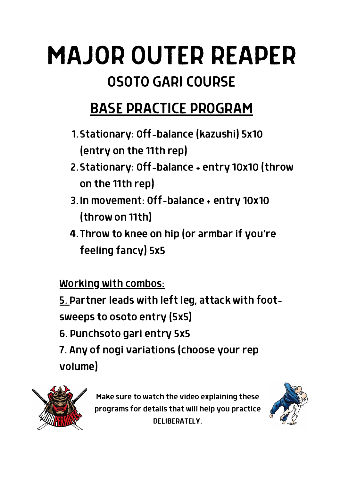# MAJOR OUTER REAPER OSOTO GARI COURSE

### BASE PRACTICE PROGRAM

- Stationary: Off-balance (kazushi) 5x10 1. (entry on the 11th rep)
- 2. Stationary: Off-balance + entry 10x10 (throw on the 11th rep)
- 3. In movement: Off-balance + entry 10x10 (throw on 11th)
- 4. Throw to knee on hip (or armbar if you're feeling fancy) 5x5

Working with combos:

5. Partner leads with left leg, attack with foot-

sweeps to osoto entry (5x5)

6. Punchsoto gari entry 5x5

7. Any of nogi variations (choose your rep volume)



Make sure to watch the video explaining these programs for details that will help you practice DELIBERATELY.

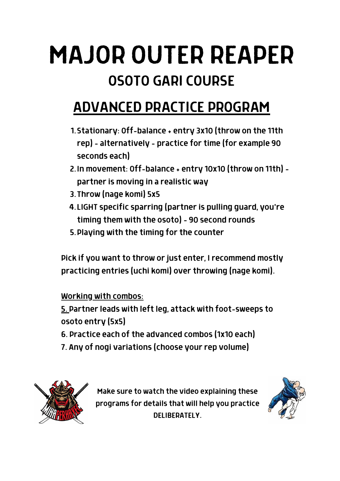# MAJOR OUTER REAPER OSOTO GARI COURSE

### ADVANCED PRACTICE PROGRAM

- 1. Stationary: Off-balance + entry 3x10 (throw on the 11th rep) - alternatively - practice for time (for example 90 seconds each)
- 2. In movement: Off-balance + entry 10x10 (throw on 11th) partner is moving in a realistic way
- 3. Throw (nage komi) 5x5
- 4. LIGHT specific sparring (partner is pulling guard, you're timing them with the osoto) - 90 second rounds
- 5. Playing with the timing for the counter

Pick if you want to throw or just enter, I recommend mostly practicing entries (uchi komi) over throwing (nage komi).

Working with combos:

5. Partner leads with left leg, attack with foot-sweeps to osoto entry (5x5)

- 6. Practice each of the advanced combos (1x10 each)
- 7. Any of nogi variations (choose your rep volume)



Make sure to watch the video explaining these programs for details that will help you practice DELIBERATELY.

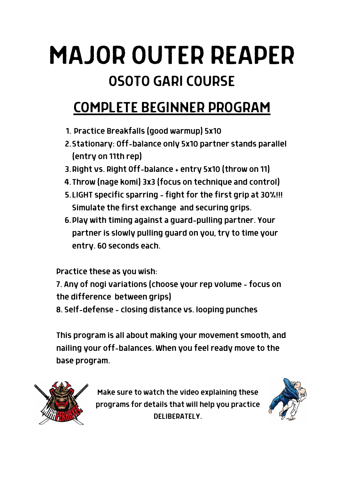# MAJOR OUTER REAPER OSOTO GARI COURSE

#### COMPLETE BEGINNER PROGRAM

- Practice Breakfalls (good warmup) 5x10 1.
- 2. Stationary: Off-balance only 5x10 partner stands parallel (entry on 11th rep)
- 3. Right vs. Right Off-balance + entry 5x10 (throw on 11)
- 4. Throw (nage komi) 3x3 (focus on technique and control)
- LIGHT specific sparring fight for the first grip at 30%!!! 5. Simulate the first exchange and securing grips.
- 6. Play with timing against a guard-pulling partner. Your partner is slowly pulling guard on you, try to time your entry. 60 seconds each.

Practice these as you wish:

7. Any of nogi variations (choose your rep volume - focus on the difference between grips)

8. Self-defense - closing distance vs. looping punches

This program is all about making your movement smooth, and nailing your off-balances. When you feel ready move to the base program.



Make sure to watch the video explaining these programs for details that will help you practice DELIBERATELY.